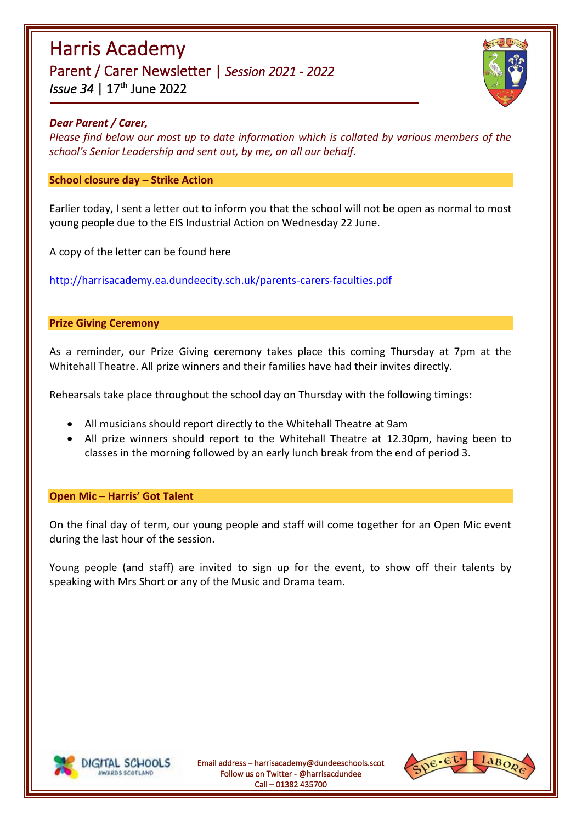# Harris Academy Parent / Carer Newsletter | *Session 2021 - 2022 lssue 34* | 17<sup>th</sup> June 2022



### *Dear Parent / Carer,*

*Please find below our most up to date information which is collated by various members of the school's Senior Leadership and sent out, by me, on all our behalf.*

### **School closure day – Strike Action**

Earlier today, I sent a letter out to inform you that the school will not be open as normal to most young people due to the EIS Industrial Action on Wednesday 22 June.

A copy of the letter can be found here

<http://harrisacademy.ea.dundeecity.sch.uk/parents-carers-faculties.pdf>

#### **Prize Giving Ceremony**

As a reminder, our Prize Giving ceremony takes place this coming Thursday at 7pm at the Whitehall Theatre. All prize winners and their families have had their invites directly.

Rehearsals take place throughout the school day on Thursday with the following timings:

- All musicians should report directly to the Whitehall Theatre at 9am
- All prize winners should report to the Whitehall Theatre at 12.30pm, having been to classes in the morning followed by an early lunch break from the end of period 3.

#### **Open Mic – Harris' Got Talent**

On the final day of term, our young people and staff will come together for an Open Mic event during the last hour of the session.

Young people (and staff) are invited to sign up for the event, to show off their talents by speaking with Mrs Short or any of the Music and Drama team.



Email address – harrisacademy@dundeeschools.scot Follow us on Twitter - @harrisacdundee Call – 01382 435700

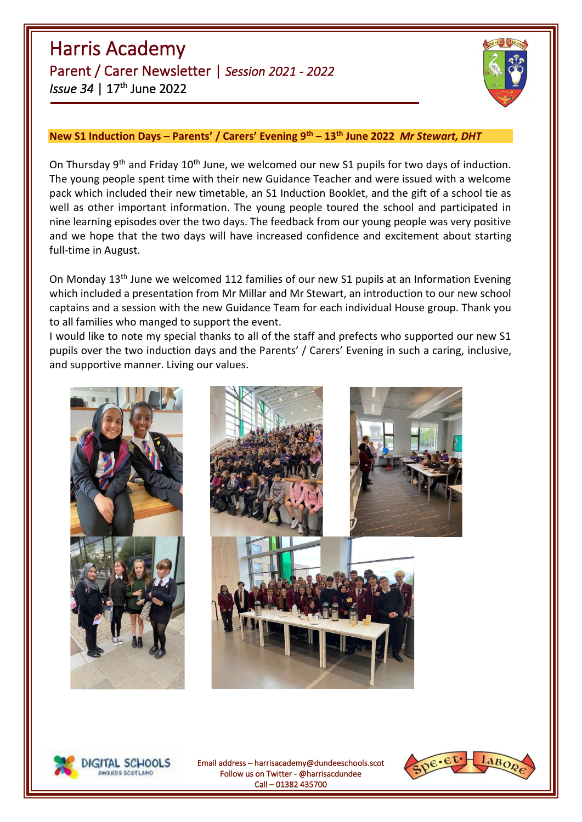Harris Academy Parent / Carer Newsletter | *Session 2021 - 2022 lssue 34* | 17<sup>th</sup> June 2022



# **New S1 Induction Days – Parents' / Carers' Evening 9th – 13th June 2022** *Mr Stewart, DHT*

On Thursday 9<sup>th</sup> and Friday 10<sup>th</sup> June, we welcomed our new S1 pupils for two days of induction. The young people spent time with their new Guidance Teacher and were issued with a welcome pack which included their new timetable, an S1 Induction Booklet, and the gift of a school tie as well as other important information. The young people toured the school and participated in nine learning episodes over the two days. The feedback from our young people was very positive and we hope that the two days will have increased confidence and excitement about starting full-time in August.

On Mondav 13<sup>th</sup> June we welcomed 112 families of our new S1 pupils at an Information Evening which included a presentation from Mr Millar and Mr Stewart, an introduction to our new school captains and a session with the new Guidance Team for each individual House group. Thank you to all families who manged to support the event.

I would like to note my special thanks to all of the staff and prefects who supported our new S1 pupils over the two induction days and the Parents' / Carers' Evening in such a caring, inclusive, and supportive manner. Living our values.





Email address – harrisacademy@dundeeschools.scot Follow us on Twitter - @harrisacdundee Call – 01382 435700